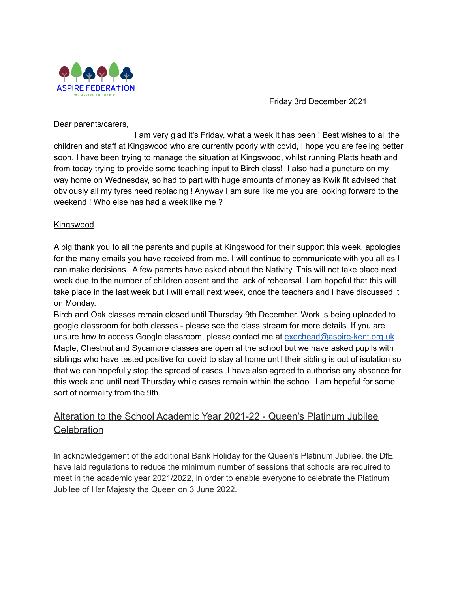

Friday 3rd December 2021

Dear parents/carers,

I am very glad it's Friday, what a week it has been ! Best wishes to all the children and staff at Kingswood who are currently poorly with covid, I hope you are feeling better soon. I have been trying to manage the situation at Kingswood, whilst running Platts heath and from today trying to provide some teaching input to Birch class! I also had a puncture on my way home on Wednesday, so had to part with huge amounts of money as Kwik fit advised that obviously all my tyres need replacing ! Anyway I am sure like me you are looking forward to the weekend ! Who else has had a week like me ?

## Kingswood

A big thank you to all the parents and pupils at Kingswood for their support this week, apologies for the many emails you have received from me. I will continue to communicate with you all as I can make decisions. A few parents have asked about the Nativity. This will not take place next week due to the number of children absent and the lack of rehearsal. I am hopeful that this will take place in the last week but I will email next week, once the teachers and I have discussed it on Monday.

Birch and Oak classes remain closed until Thursday 9th December. Work is being uploaded to google classroom for both classes - please see the class stream for more details. If you are unsure how to access Google classroom, please contact me at [exechead@aspire-kent.org.uk](mailto:exechead@aspire-kent.org.uk) Maple, Chestnut and Sycamore classes are open at the school but we have asked pupils with siblings who have tested positive for covid to stay at home until their sibling is out of isolation so that we can hopefully stop the spread of cases. I have also agreed to authorise any absence for this week and until next Thursday while cases remain within the school. I am hopeful for some sort of normality from the 9th.

## Alteration to the School Academic Year 2021-22 - Queen's Platinum Jubilee **Celebration**

In acknowledgement of the additional Bank Holiday for the Queen's Platinum Jubilee, the DfE have laid regulations to reduce the minimum number of sessions that schools are required to meet in the academic year 2021/2022, in order to enable everyone to celebrate the Platinum Jubilee of Her Majesty the Queen on 3 June 2022.